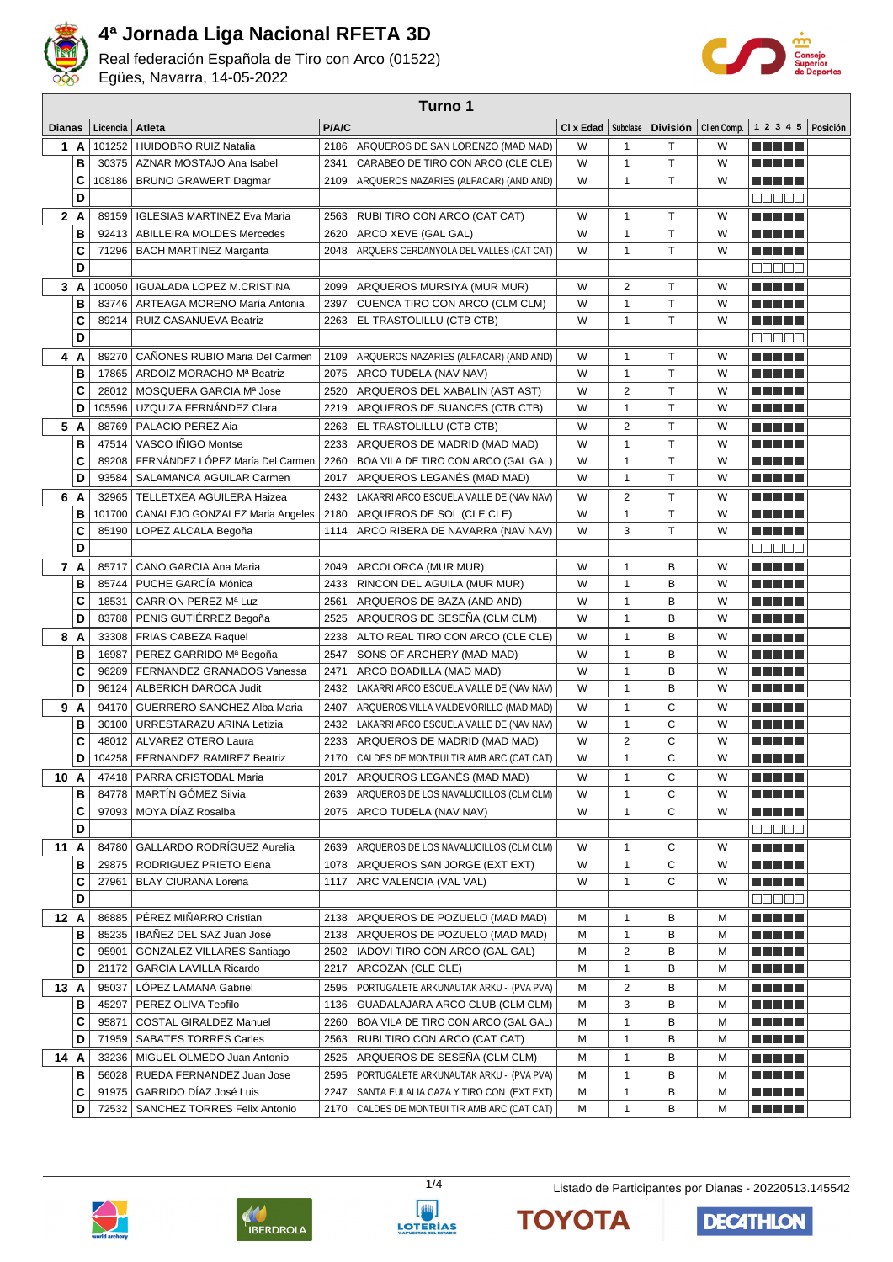

Real federación Española de Tiro con Arco (01522) Egües, Navarra, 14-05-2022



| Turno 1       |          |                                      |       |                                              |           |                |                 |             |                        |          |
|---------------|----------|--------------------------------------|-------|----------------------------------------------|-----------|----------------|-----------------|-------------|------------------------|----------|
| <b>Dianas</b> | Licencia | Atleta                               | P/A/C |                                              | CI x Edad | Subclase       | <b>División</b> | CI en Comp. | 1 2 3 4 5              | Posición |
| 1 A           |          | 101252 HUIDOBRO RUIZ Natalia         | 2186  | ARQUEROS DE SAN LORENZO (MAD MAD)            | W         | 1              | т               | W           | n di Biblio            |          |
| B             |          | 30375   AZNAR MOSTAJO Ana Isabel     | 2341  | CARABEO DE TIRO CON ARCO (CLE CLE)           | W         | $\mathbf{1}$   | T               | W           | an bin bin b           |          |
| C             | 108186   | <b>BRUNO GRAWERT Dagmar</b>          |       | 2109 ARQUEROS NAZARIES (ALFACAR) (AND AND)   | W         | 1              | T               | W           |                        |          |
| D             |          |                                      |       |                                              |           |                |                 |             | anaan                  |          |
| 2A            | 89159    | <b>IGLESIAS MARTINEZ Eva Maria</b>   | 2563  | RUBI TIRO CON ARCO (CAT CAT)                 | W         | 1              | т               | W           | n di Titolo            |          |
| B             | 92413    | <b>ABILLEIRA MOLDES Mercedes</b>     | 2620  | ARCO XEVE (GAL GAL)                          | W         | $\mathbf{1}$   | T               | W           | M M M M                |          |
| C             | 71296    | BACH MARTINEZ Margarita              | 2048  | ARQUERS CERDANYOLA DEL VALLES (CAT CAT)      | W         | 1              | T.              | W           | ma matsa               |          |
| D             |          |                                      |       |                                              |           |                |                 |             | a a a a a              |          |
| 3A            | 100050   | <b>IGUALADA LOPEZ M.CRISTINA</b>     | 2099  | ARQUEROS MURSIYA (MUR MUR)                   | W         | 2              | T               | W           | n na mat               |          |
| B             | 83746    | ARTEAGA MORENO María Antonia         | 2397  | CUENCA TIRO CON ARCO (CLM CLM)               | W         | $\mathbf{1}$   | T               | W           | n na m                 |          |
| C             | 89214    | RUIZ CASANUEVA Beatriz               |       | 2263 EL TRASTOLILLU (CTB CTB)                | W         | 1              | T               | W           | ma matsa               |          |
| D             |          |                                      |       |                                              |           |                |                 |             | Maaaa                  |          |
| 4 A           | 89270    | CAÑONES RUBIO Maria Del Carmen       | 2109  | ARQUEROS NAZARIES (ALFACAR) (AND AND)        | W         | 1              | т               | W           | n din din              |          |
| B             | 17865    | ARDOIZ MORACHO Mª Beatriz            |       | 2075 ARCO TUDELA (NAV NAV)                   | W         | 1              | T               | W           |                        |          |
| C             | 28012    | MOSQUERA GARCIA Mª Jose              |       | 2520 ARQUEROS DEL XABALIN (AST AST)          | W         | $\overline{2}$ | T               | W           | n di Titolo            |          |
| D             | 105596   | UZQUIZA FERNÁNDEZ Clara              | 2219  | ARQUEROS DE SUANCES (CTB CTB)                | W         | 1              | T               | W           | ma mata                |          |
| 5 A           | 88769    | PALACIO PEREZ Aia                    | 2263  | EL TRASTOLILLU (CTB CTB)                     | W         | $\overline{2}$ | T               | W           | MAN DE                 |          |
| B             | 47514    | VASCO IÑIGO Montse                   | 2233  | ARQUEROS DE MADRID (MAD MAD)                 | W         | 1              | T               | W           |                        |          |
| C             | 89208    | FERNÁNDEZ LÓPEZ María Del Carmen     | 2260  | BOA VILA DE TIRO CON ARCO (GAL GAL)          | W         | $\mathbf{1}$   | T.              | W           |                        |          |
| D             | 93584    | SALAMANCA AGUILAR Carmen             |       | 2017 ARQUEROS LEGANÉS (MAD MAD)              | W         | 1              | T.              | W           | ma mata                |          |
| 6 A           | 32965    | TELLETXEA AGUILERA Haizea            | 2432  | LAKARRI ARCO ESCUELA VALLE DE (NAV NAV)      | W         | 2              | т               | W           | <u> Literatur in s</u> |          |
| B             | 101700   | CANALEJO GONZALEZ Maria Angeles      |       | 2180 ARQUEROS DE SOL (CLE CLE)               | W         | 1              | T               | W           | ma matsa               |          |
| C             | 85190    | LOPEZ ALCALA Begoña                  | 1114  | ARCO RIBERA DE NAVARRA (NAV NAV)             | W         | 3              | T               | W           |                        |          |
| D             |          |                                      |       |                                              |           |                |                 |             | <b>MANAA</b>           |          |
| 7 A           | 85717    | CANO GARCIA Ana Maria                | 2049  | ARCOLORCA (MUR MUR)                          | W         | 1              | в               | W           | MA MARI                |          |
| B             | 85744    | PUCHE GARCÍA Mónica                  | 2433  | RINCON DEL AGUILA (MUR MUR)                  | W         | $\mathbf{1}$   | B               | W           | MA METAL               |          |
| C             | 18531    | CARRION PEREZ Mª Luz                 | 2561  | ARQUEROS DE BAZA (AND AND)                   | W         | 1              | B               | W           | n di Titolo            |          |
| D             | 83788    | PENIS GUTIÉRREZ Begoña               | 2525  | ARQUEROS DE SESENA (CLM CLM)                 | W         | 1              | B               | W           | n ni ni ni             |          |
| 8 A           | 33308    | <b>FRIAS CABEZA Raquel</b>           | 2238  | ALTO REAL TIRO CON ARCO (CLE CLE)            | W         | 1              | B               | W           | n na m                 |          |
| B             | 16987    | PEREZ GARRIDO Mª Begoña              | 2547  | SONS OF ARCHERY (MAD MAD)                    | W         | 1              | в               | W           | n na m                 |          |
| C             | 96289    | FERNANDEZ GRANADOS Vanessa           | 2471  | ARCO BOADILLA (MAD MAD)                      | W         | 1              | B               | W           | ma matsa               |          |
| D             | 96124    | ALBERICH DAROCA Judit                |       | 2432 LAKARRI ARCO ESCUELA VALLE DE (NAV NAV) | W         | 1              | В               | W           | <u> Literatur in s</u> |          |
| 9 A           | 94170    | GUERRERO SANCHEZ Alba Maria          | 2407  | ARQUEROS VILLA VALDEMORILLO (MAD MAD)        | W         | 1              | С               | W           | ma mata                |          |
| B             | 30100    | URRESTARAZU ARINA Letizia            |       | 2432 LAKARRI ARCO ESCUELA VALLE DE (NAV NAV) | W         | 1              | С               | W           | MA MPL                 |          |
| C             | 48012    | ALVAREZ OTERO Laura                  |       | 2233 ARQUEROS DE MADRID (MAD MAD)            | W         | 2              | С               | W           | MA METAL               |          |
| D             |          | 104258   FERNANDEZ RAMIREZ Beatriz   |       | 2170 CALDES DE MONTBUI TIR AMB ARC (CAT CAT) | W         | $\mathbf{1}$   | C               | W           | <u> Literatur</u>      |          |
|               |          | 47418   PARRA CRISTOBAL Maria        |       | 2017 ARQUEROS LEGANES (MAD MAD)              | W         | 1              | С               | W           | <u> Literatur</u>      |          |
| 10 A<br>в     | 84778    | MARTÍN GÓMEZ Silvia                  |       | 2639 ARQUEROS DE LOS NAVALUCILLOS (CLM CLM)  | W         | 1              | С               | W           | <u> El El El E</u>     |          |
| С             | 97093    | MOYA DÍAZ Rosalba                    |       | 2075 ARCO TUDELA (NAV NAV)                   | W         | 1              | C               | W           | <u> Here i s</u>       |          |
| D             |          |                                      |       |                                              |           |                |                 |             | Maaaa                  |          |
| 11 A          | 84780    | GALLARDO RODRÍGUEZ Aurelia           |       | 2639 ARQUEROS DE LOS NAVALUCILLOS (CLM CLM)  | W         | 1              | С               | W           | <u> Literatur</u>      |          |
| в             |          | 29875   RODRIGUEZ PRIETO Elena       |       | 1078 ARQUEROS SAN JORGE (EXT EXT)            | W         | 1              | С               | W           | <u> Literatur</u>      |          |
| C             | 27961    | <b>BLAY CIURANA Lorena</b>           |       | 1117 ARC VALENCIA (VAL VAL)                  | W         | 1              | С               | W           | <u> Literatur</u>      |          |
| D             |          |                                      |       |                                              |           |                |                 |             | 88888                  |          |
| 12A           | 86885    | PÉREZ MIÑARRO Cristian               |       | 2138 ARQUEROS DE POZUELO (MAD MAD)           | м         | 1              | В               | м           | <u> Literatur</u>      |          |
| в             | 85235    | IBAÑEZ DEL SAZ Juan José             |       | 2138 ARQUEROS DE POZUELO (MAD MAD)           | М         | 1              | в               | M           | <u> El El El E</u>     |          |
| С             | 95901    | GONZALEZ VILLARES Santiago           |       | 2502 IADOVI TIRO CON ARCO (GAL GAL)          | М         | 2              | В               | M           | <u> El El El E</u>     |          |
| D             | 21172    | GARCIA LAVILLA Ricardo               |       | 2217 ARCOZAN (CLE CLE)                       | М         | $\mathbf{1}$   | в               | М           | E E E E E              |          |
| 13 A          | 95037    | LÓPEZ LAMANA Gabriel                 |       | 2595 PORTUGALETE ARKUNAUTAK ARKU - (PVA PVA) | М         | 2              | в               | M           | e e e e e              |          |
| в             | 45297    | PEREZ OLIVA Teofilo                  |       | 1136 GUADALAJARA ARCO CLUB (CLM CLM)         | М         | 3              | в               | M           | ME NE H                |          |
| C             | 95871    | <b>COSTAL GIRALDEZ Manuel</b>        |       | 2260 BOA VILA DE TIRO CON ARCO (GAL GAL)     | м         | 1              | в               | м           | <u> El El El E</u>     |          |
| D             |          | 71959   SABATES TORRES Carles        |       | 2563 RUBI TIRO CON ARCO (CAT CAT)            | М         | 1              | В               | м           | <u> Literatur</u>      |          |
| 14 A          |          | 33236   MIGUEL OLMEDO Juan Antonio   |       | 2525 ARQUEROS DE SESEÑA (CLM CLM)            | м         | 1              | в               | м           | <u> E Ser Ser</u>      |          |
| в             |          | 56028 RUEDA FERNANDEZ Juan Jose      |       | 2595 PORTUGALETE ARKUNAUTAK ARKU - (PVA PVA) | м         | 1              | В               | м           | <u> Literatur</u>      |          |
| С             |          | 91975   GARRIDO DÍAZ José Luis       |       | 2247 SANTA EULALIA CAZA Y TIRO CON (EXT EXT) | м         | 1              | в               | М           | <u> El El El E</u>     |          |
| D             |          | 72532   SANCHEZ TORRES Felix Antonio |       | 2170 CALDES DE MONTBUI TIR AMB ARC (CAT CAT) | М         | 1              | В               | Μ           | E E E E E              |          |









**DECATHLON** 

**TOYOTA**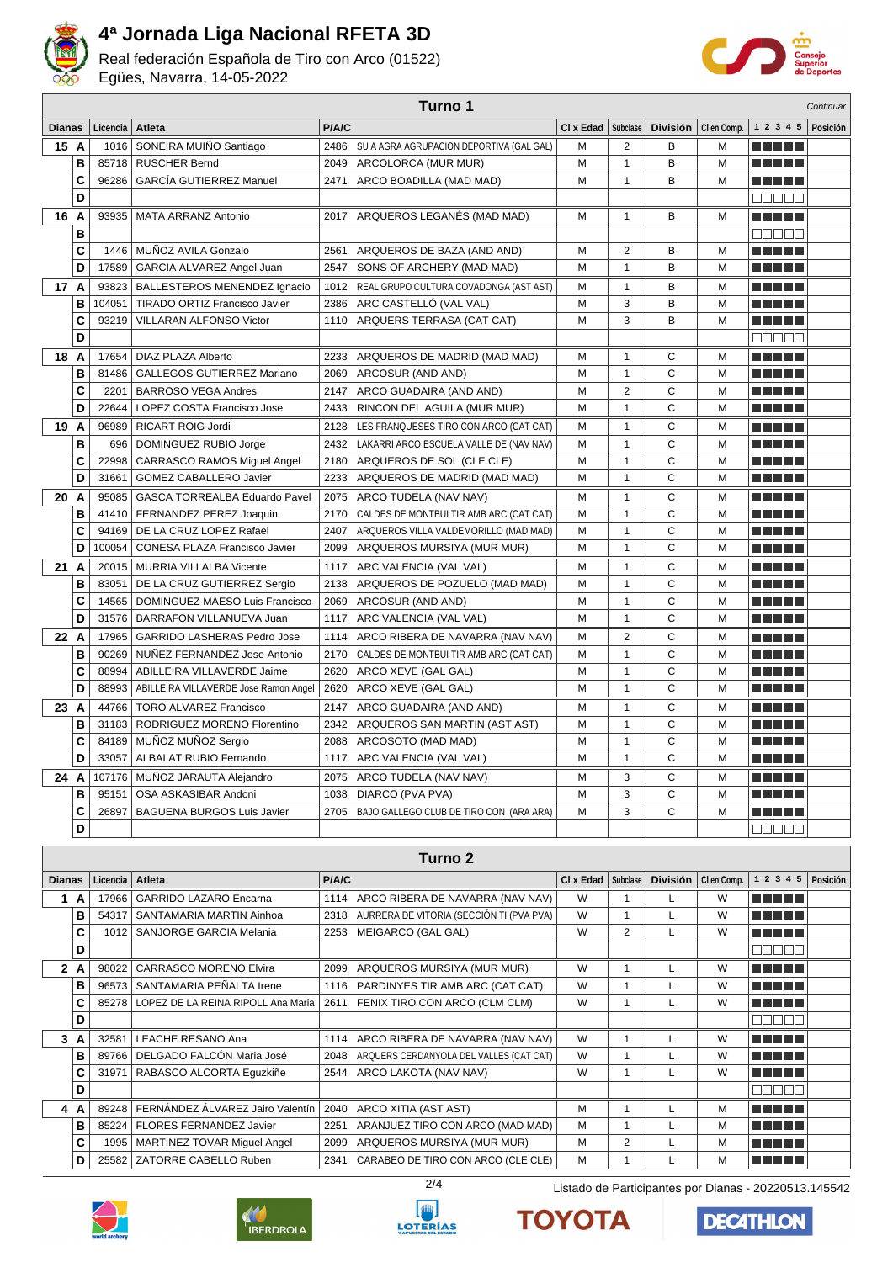

Real federación Española de Tiro con Arco (01522) Egües, Navarra, 14-05-2022



| Turno 1<br>Continuar |                |                                                               |       |                                                                                        |           |                              |                   |             |                                              |          |
|----------------------|----------------|---------------------------------------------------------------|-------|----------------------------------------------------------------------------------------|-----------|------------------------------|-------------------|-------------|----------------------------------------------|----------|
| <b>Dianas</b>        | Licencia       | Atleta                                                        | P/A/C |                                                                                        | CI x Edad | Subclase                     | <b>División</b>   | CI en Comp. | 1 2 3 4 5                                    | Posición |
| 15 A                 | 1016           | SONEIRA MUIÑO Santiago                                        |       | 2486 SU A AGRA AGRUPACION DEPORTIVA (GAL GAL)                                          | м         | 2                            | B                 | M           |                                              |          |
| B                    | 85718          | <b>RUSCHER Bernd</b>                                          | 2049  | ARCOLORCA (MUR MUR)                                                                    | м         | $\mathbf{1}$                 | B                 | М           |                                              |          |
| C                    | 96286          | <b>GARCÍA GUTIERREZ Manuel</b>                                | 2471  | ARCO BOADILLA (MAD MAD)                                                                | M         | $\mathbf{1}$                 | B                 | М           | <u>a kata ing Pa</u>                         |          |
| D                    |                |                                                               |       |                                                                                        |           |                              |                   |             | $\Box\Box\Box\Box\Box$                       |          |
| 16 A                 | 93935          | <b>MATA ARRANZ Antonio</b>                                    |       | 2017 ARQUEROS LEGANÉS (MAD MAD)                                                        | М         | $\mathbf{1}$                 | в                 | М           | n nin nin                                    |          |
| В                    |                |                                                               |       |                                                                                        |           |                              |                   |             | 88888                                        |          |
| C                    | 1446           | MUÑOZ AVILA Gonzalo                                           |       | 2561 ARQUEROS DE BAZA (AND AND)                                                        | М         | 2                            | в                 | M           | n din se                                     |          |
| D                    | 17589          | GARCIA ALVAREZ Angel Juan                                     | 2547  | SONS OF ARCHERY (MAD MAD)                                                              | М         | $\mathbf{1}$                 | B                 | M           | n nin nin                                    |          |
| 17 A                 | 93823          | BALLESTEROS MENENDEZ Ignacio                                  |       | 1012 REAL GRUPO CULTURA COVADONGA (AST AST)                                            | М         | $\mathbf{1}$                 | В                 | М           | n din se                                     |          |
| B                    | 104051         | TIRADO ORTIZ Francisco Javier                                 | 2386  | ARC CASTELLÓ (VAL VAL)                                                                 | М         | 3                            | B                 | M           | n ni ni ni                                   |          |
| C                    | 93219          | <b>VILLARAN ALFONSO Victor</b>                                | 1110  | ARQUERS TERRASA (CAT CAT)                                                              | М         | 3                            | B                 | М           | ME SE S                                      |          |
| D                    |                |                                                               |       |                                                                                        |           |                              |                   |             | Maaan                                        |          |
| 18 A                 | 17654          | DIAZ PLAZA Alberto                                            |       | 2233 ARQUEROS DE MADRID (MAD MAD)                                                      | м         | $\mathbf{1}$                 | С                 | M           | ME SE S                                      |          |
| в                    | 81486          | GALLEGOS GUTIERREZ Mariano                                    | 2069  | ARCOSUR (AND AND)                                                                      | М         | $\mathbf{1}$                 | C                 | М           | MA MARIT                                     |          |
| C                    | 2201           | <b>BARROSO VEGA Andres</b>                                    |       | 2147 ARCO GUADAIRA (AND AND)                                                           | М         | $\overline{2}$               | C                 | М           | MA MARIT                                     |          |
| D                    | 22644          | LOPEZ COSTA Francisco Jose                                    |       | 2433 RINCON DEL AGUILA (MUR MUR)                                                       | M         | $\mathbf{1}$                 | $\mathsf{C}$      | M           | M M M M M                                    |          |
| 19 A                 | 96989          | RICART ROIG Jordi                                             |       | 2128 LES FRANQUESES TIRO CON ARCO (CAT CAT)                                            | м         | 1                            | С                 | М           |                                              |          |
| B                    | 696            | DOMINGUEZ RUBIO Jorge                                         |       | 2432 LAKARRI ARCO ESCUELA VALLE DE (NAV NAV)                                           | М         | $\mathbf{1}$                 | C                 | M           | n din Film                                   |          |
| C                    | 22998          | <b>CARRASCO RAMOS Miguel Angel</b>                            |       | 2180 ARQUEROS DE SOL (CLE CLE)                                                         | M         | $\mathbf{1}$                 | $\mathsf{C}$      | M           | n in Tim                                     |          |
| D                    | 31661          | GOMEZ CABALLERO Javier                                        |       | 2233 ARQUEROS DE MADRID (MAD MAD)                                                      | М         | $\mathbf{1}$                 | C                 | М           | <u> El Bell</u>                              |          |
| 20 A                 | 95085          | GASCA TORREALBA Eduardo Pavel                                 |       | 2075 ARCO TUDELA (NAV NAV)                                                             | М         | $\mathbf{1}$                 | С                 | M           | n ni ni ni                                   |          |
| B                    | 41410          | FERNANDEZ PEREZ Joaquin                                       | 2170  | CALDES DE MONTBUI TIR AMB ARC (CAT CAT)                                                | М         | $\mathbf{1}$                 | C                 | М           | TI TITLE T                                   |          |
| C                    |                | 94169   DE LA CRUZ LOPEZ Rafael                               |       | 2407 ARQUEROS VILLA VALDEMORILLO (MAD MAD)                                             | М         | $\mathbf{1}$                 | C<br>$\mathsf{C}$ | M           | an masa                                      |          |
| D                    | 100054         | CONESA PLAZA Francisco Javier                                 |       | 2099 ARQUEROS MURSIYA (MUR MUR)                                                        | М         | $\mathbf{1}$                 |                   | М           | MA MARIT                                     |          |
| 21 A                 | 20015<br>83051 | MURRIA VILLALBA Vicente                                       |       | 1117 ARC VALENCIA (VAL VAL)                                                            | М         | $\mathbf{1}$<br>$\mathbf{1}$ | C<br>C            | M<br>M      | M M M M M                                    |          |
| B<br>C               | 14565          | DE LA CRUZ GUTIERREZ Sergio<br>DOMINGUEZ MAESO Luis Francisco | 2138  | ARQUEROS DE POZUELO (MAD MAD)<br>2069 ARCOSUR (AND AND)                                | М<br>М    | $\mathbf{1}$                 | C                 | M           | <u>a kata ing Pang</u><br><u> El Bertolo</u> |          |
| D                    | 31576          | BARRAFON VILLANUEVA Juan                                      |       | 1117 ARC VALENCIA (VAL VAL)                                                            | M         | $\mathbf{1}$                 | C                 | M           | <u> El Bertolo</u>                           |          |
| 22 A                 | 17965          | <b>GARRIDO LASHERAS Pedro Jose</b>                            |       | 1114 ARCO RIBERA DE NAVARRA (NAV NAV)                                                  | М         | 2                            | C                 | М           | n din se                                     |          |
| B                    | 90269          | NUÑEZ FERNANDEZ Jose Antonio                                  | 2170  | CALDES DE MONTBUI TIR AMB ARC (CAT CAT)                                                | М         | $\mathbf{1}$                 | C                 | M           | M M M M                                      |          |
| C                    | 88994          | ABILLEIRA VILLAVERDE Jaime                                    |       | 2620 ARCO XEVE (GAL GAL)                                                               | М         | $\mathbf{1}$                 | C                 | M           | n ni ni ni                                   |          |
| D                    | 88993          | ABILLEIRA VILLAVERDE Jose Ramon Angel                         | 2620  | ARCO XEVE (GAL GAL)                                                                    | М         | $\mathbf{1}$                 | C                 | М           | n di Tito                                    |          |
| 23 A                 | 44766          | <b>TORO ALVAREZ Francisco</b>                                 | 2147  | ARCO GUADAIRA (AND AND)                                                                | м         | $\mathbf{1}$                 | С                 | М           | n nin nin                                    |          |
| B                    | 31183          | RODRIGUEZ MORENO Florentino                                   |       | 2342 ARQUEROS SAN MARTIN (AST AST)                                                     | м         | $\mathbf{1}$                 | C                 | М           | MA MARIT                                     |          |
| C                    |                | 84189 MUÑOZ MUÑOZ Sergio                                      |       | 2088 ARCOSOTO (MAD MAD)                                                                | м         | $\mathbf{1}$                 | C                 | М           | N E HE H                                     |          |
| D                    |                | 33057   ALBALAT RUBIO Fernando                                |       | 1117 ARC VALENCIA (VAL VAL)                                                            | M         | $\mathbf{1}$                 | C                 | M           |                                              |          |
| 24 A                 | 107176         | MUNOZ JARAUTA Alejandro                                       |       | 2075 ARCO TUDELA (NAV NAV)                                                             | М         | 3                            | С                 | M           | <u> Literatur</u>                            |          |
| в                    | 95151          | OSA ASKASIBAR Andoni                                          | 1038  | DIARCO (PVA PVA)                                                                       | М         | 3                            | С                 | М           |                                              |          |
| C                    | 26897          | BAGUENA BURGOS Luis Javier                                    |       | 2705 BAJO GALLEGO CLUB DE TIRO CON (ARA ARA)                                           | М         | 3                            | C                 | М           | <u> Literatur</u>                            |          |
| D                    |                |                                                               |       |                                                                                        |           |                              |                   |             | 80000                                        |          |
|                      |                |                                                               |       | Turno <sub>2</sub>                                                                     |           |                              |                   |             |                                              |          |
| <b>Dianas</b>        | Licencia       | Atleta                                                        | P/A/C |                                                                                        | CI x Edad | Subclase                     | División          | CI en Comp. | 1 2 3 4 5                                    | Posición |
|                      |                |                                                               |       |                                                                                        | W         |                              |                   |             |                                              |          |
| 1 A<br>в             | 17966<br>54317 | <b>GARRIDO LAZARO Encarna</b><br>SANTAMARIA MARTIN Ainhoa     |       | 1114 ARCO RIBERA DE NAVARRA (NAV NAV)<br>2318 AURRERA DE VITORIA (SECCIÓN TI (PVA PVA) | W         | $\mathbf{1}$<br>$\mathbf{1}$ | L<br>Г            | W<br>W      | <u> Literatur</u><br><u> El El El </u>       |          |
| C                    | 1012           | SANJORGE GARCIA Melania                                       |       | 2253 MEIGARCO (GAL GAL)                                                                | W         | $\overline{\mathbf{c}}$      | L                 | W           | <u> Literatur</u>                            |          |
| D                    |                |                                                               |       |                                                                                        |           |                              |                   |             | $\Box$ $\Box$ $\Box$ $\Box$                  |          |
| 2A                   | 98022          | CARRASCO MORENO Elvira                                        |       | 2099 ARQUEROS MURSIYA (MUR MUR)                                                        | W         | $\mathbf{1}$                 | L                 | W           | <u> El El El E</u>                           |          |
| в                    | 96573          | SANTAMARIA PEÑALTA Irene                                      |       | 1116 PARDINYES TIR AMB ARC (CAT CAT)                                                   | W         | $\mathbf{1}$                 | L                 | W           | <u> E SE SE</u>                              |          |
| C                    | 85278          | LOPEZ DE LA REINA RIPOLL Ana Maria                            |       | 2611 FENIX TIRO CON ARCO (CLM CLM)                                                     | W         | $\mathbf{1}$                 | L                 | W           | <u> El Bell</u>                              |          |
| D                    |                |                                                               |       |                                                                                        |           |                              |                   |             | <b>BBBBB</b>                                 |          |
| 3A                   | 32581          | LEACHE RESANO Ana                                             |       | 1114 ARCO RIBERA DE NAVARRA (NAV NAV)                                                  | W         | $\mathbf{1}$                 | L                 | W           | <u> Literatur</u>                            |          |
| в                    | 89766          | DELGADO FALCÓN Maria José                                     |       | 2048 ARQUERS CERDANYOLA DEL VALLES (CAT CAT)                                           | W         | $\mathbf{1}$                 | L                 | W           | <u> Literatur</u>                            |          |
| C                    | 31971          | RABASCO ALCORTA Eguzkiñe                                      |       | 2544 ARCO LAKOTA (NAV NAV)                                                             | W         | $\mathbf{1}$                 | L                 | W           | <u> El Bell</u>                              |          |
| D                    |                |                                                               |       |                                                                                        |           |                              |                   |             | ME SE S                                      |          |
| 4 A                  | 89248          | FERNÁNDEZ ÁLVAREZ Jairo Valentín                              | 2040  | ARCO XITIA (AST AST)                                                                   | м         | 1                            | L                 | M           | <u> Literatur</u>                            |          |
| в                    | 85224          | <b>FLORES FERNANDEZ Javier</b>                                | 2251  | ARANJUEZ TIRO CON ARCO (MAD MAD)                                                       | М         | $\mathbf{1}$                 | L                 | М           | <u> Literatur</u>                            |          |
| C                    | 1995           | MARTINEZ TOVAR Miguel Angel                                   |       | 2099 ARQUEROS MURSIYA (MUR MUR)                                                        | М         | 2                            | L                 | М           | <u> Literatur</u>                            |          |
| D                    | 25582          | ZATORRE CABELLO Ruben                                         |       | 2341 CARABEO DE TIRO CON ARCO (CLE CLE)                                                | М         | $\mathbf{1}$                 | L                 | М           | <u> El El El E</u>                           |          |







**TOYOTA** 



**DECATHLON**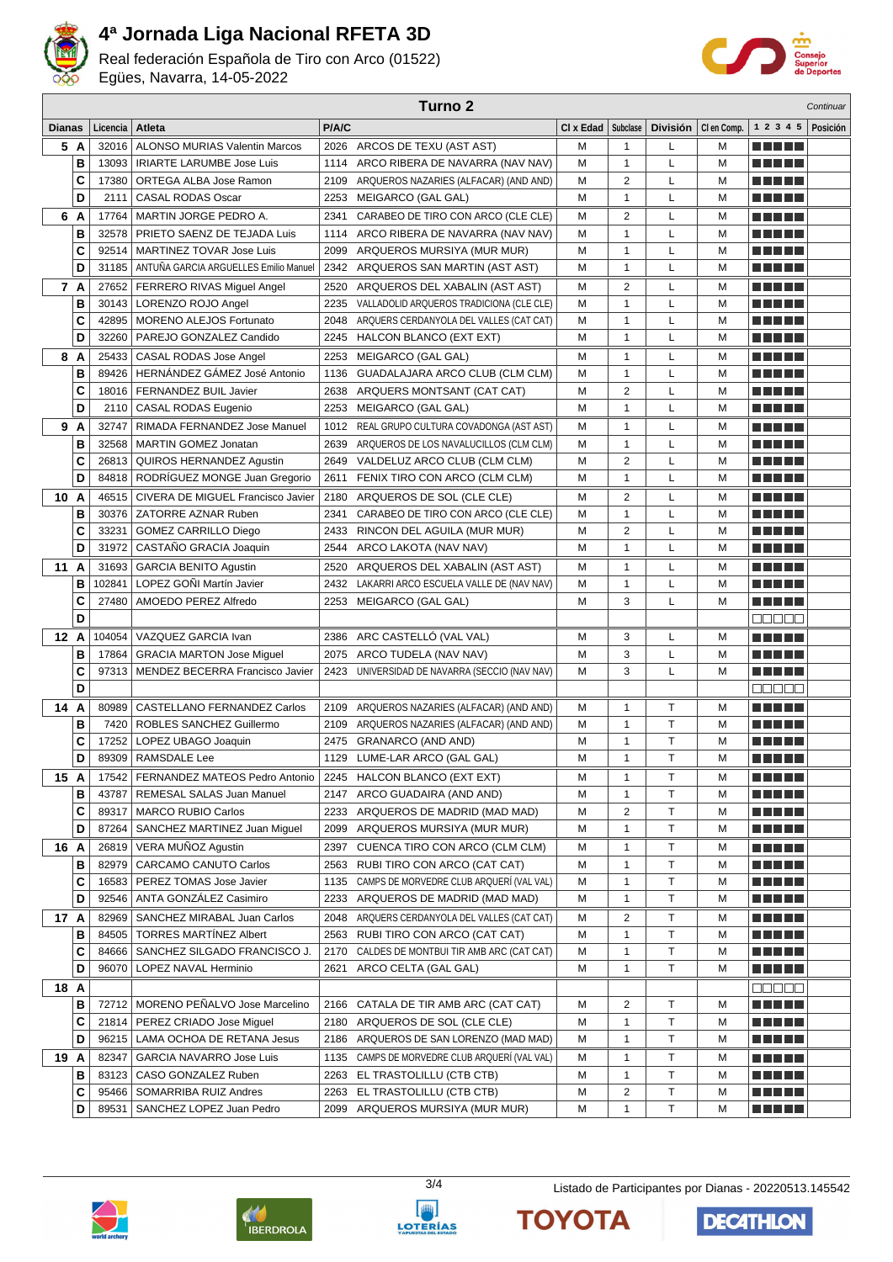

Real federación Española de Tiro con Arco (01522) Egües, Navarra, 14-05-2022



|               |          | Turno <sub>2</sub><br>Continuar |                                                        |              |                                                              |           |                |        |                       |                              |          |
|---------------|----------|---------------------------------|--------------------------------------------------------|--------------|--------------------------------------------------------------|-----------|----------------|--------|-----------------------|------------------------------|----------|
| <b>Dianas</b> |          | Licencia                        | Atleta                                                 | P/A/C        |                                                              | CI x Edad | Subclase       |        | División   Clen Comp. | 1 2 3 4 5                    | Posición |
|               | 5 A      | 32016                           | <b>ALONSO MURIAS Valentin Marcos</b>                   |              | 2026 ARCOS DE TEXU (AST AST)                                 | М         | 1              | L      | M                     | n din bir                    |          |
|               | B        | 13093                           | <b>IRIARTE LARUMBE Jose Luis</b>                       | 1114         | ARCO RIBERA DE NAVARRA (NAV NAV)                             | M         | 1              | Г      | M                     | <b>RICH BILLIN</b>           |          |
|               | C        | 17380                           | ORTEGA ALBA Jose Ramon                                 | 2109         | ARQUEROS NAZARIES (ALFACAR) (AND AND)                        | M         | 2              | L      | M                     | n din ka                     |          |
|               | D        | 2111                            | <b>CASAL RODAS Oscar</b>                               | 2253         | MEIGARCO (GAL GAL)                                           | M         | 1              | L      | М                     | <u> El Bertin</u>            |          |
|               | 6 A      | 17764                           | MARTIN JORGE PEDRO A.                                  | 2341         | CARABEO DE TIRO CON ARCO (CLE CLE)                           | М         | 2              | L      | М                     | n di Tin                     |          |
|               | В        | 32578                           | PRIETO SAENZ DE TEJADA Luis                            | 1114         | ARCO RIBERA DE NAVARRA (NAV NAV)                             | M         | 1              | L      | M                     | n din bir                    |          |
|               | C        | 92514                           | MARTINEZ TOVAR Jose Luis                               | 2099         | ARQUEROS MURSIYA (MUR MUR)                                   | M         | 1              | L      | М                     | n din bir                    |          |
|               | D        | 31185                           | ANTUÑA GARCIA ARGUELLES Emilio Manuel                  |              | 2342 ARQUEROS SAN MARTIN (AST AST)                           | M         | 1              | L      | M                     | <u> Literatur in s</u>       |          |
|               | 7 A      | 27652                           | FERRERO RIVAS Miquel Angel                             | 2520         | ARQUEROS DEL XABALIN (AST AST)                               | м         | 2              | L      | М                     | n din ka                     |          |
|               | B        | 30143                           | LORENZO ROJO Angel                                     | 2235         | VALLADOLID ARQUEROS TRADICIONA (CLE CLE)                     | M         | 1              | L      | M                     | <u> El Bertin</u>            |          |
|               | C<br>D   | 42895                           | <b>MORENO ALEJOS Fortunato</b>                         | 2048         | ARQUERS CERDANYOLA DEL VALLES (CAT CAT)                      | М         | 1<br>1         | Г<br>L | M<br>M                | a di seb                     |          |
|               |          | 32260                           | PAREJO GONZALEZ Candido                                |              | 2245 HALCON BLANCO (EXT EXT)                                 | M         |                |        |                       |                              |          |
|               | 8 A<br>B | 25433<br>89426                  | CASAL RODAS Jose Angel<br>HERNÁNDEZ GÁMEZ José Antonio | 2253<br>1136 | MEIGARCO (GAL GAL)<br>GUADALAJARA ARCO CLUB (CLM CLM)        | M<br>M    | 1<br>1         | L<br>Г | M<br>M                | <u> Literatur</u><br>.       |          |
|               | C        |                                 | 18016   FERNANDEZ BUIL Javier                          |              | 2638 ARQUERS MONTSANT (CAT CAT)                              | M         | $\overline{2}$ | Г      | M                     | .                            |          |
|               | D        | 2110                            | CASAL RODAS Eugenio                                    | 2253         | MEIGARCO (GAL GAL)                                           | M         | 1              | Г      | M                     | n din bir                    |          |
|               | 9 A      | 32747                           | RIMADA FERNANDEZ Jose Manuel                           |              | 1012 REAL GRUPO CULTURA COVADONGA (AST AST)                  | M         | 1              | L      | M                     | MA MBO                       |          |
|               | В        | 32568                           | <b>MARTIN GOMEZ Jonatan</b>                            | 2639         | ARQUEROS DE LOS NAVALUCILLOS (CLM CLM)                       | M         | 1              | L      | м                     | ma matsa                     |          |
|               | C        | 26813                           | QUIROS HERNANDEZ Agustin                               |              | 2649 VALDELUZ ARCO CLUB (CLM CLM)                            | M         | 2              | Г      | M                     | n din ka                     |          |
|               | D        | 84818                           | RODRIGUEZ MONGE Juan Gregorio                          | 2611         | FENIX TIRO CON ARCO (CLM CLM)                                | M         | 1              | L      | M                     | M M M M M                    |          |
| 10 A          |          | 46515                           | CIVERA DE MIGUEL Francisco Javier                      | 2180         | ARQUEROS DE SOL (CLE CLE)                                    | M         | 2              | L      | м                     | MA MAR                       |          |
|               | В        | 30376                           | ZATORRE AZNAR Ruben                                    | 2341         | CARABEO DE TIRO CON ARCO (CLE CLE)                           | M         | 1              | Г      | M                     | MA MAR                       |          |
|               | C        | 33231                           | <b>GOMEZ CARRILLO Diego</b>                            | 2433         | RINCON DEL AGUILA (MUR MUR)                                  | M         | 2              | L      | M                     | n na mats                    |          |
|               | D        | 31972                           | CASTANO GRACIA Joaquin                                 | 2544         | ARCO LAKOTA (NAV NAV)                                        | M         | 1              | Г      | M                     | n din ka                     |          |
| 11 A          |          | 31693                           | <b>GARCIA BENITO Agustin</b>                           | 2520         | ARQUEROS DEL XABALIN (AST AST)                               | М         | 1              | L      | М                     | a sa sansa                   |          |
|               | B        | 102841                          | LOPEZ GONI Martín Javier                               | 2432         | LAKARRI ARCO ESCUELA VALLE DE (NAV NAV)                      | M         | 1              | L      | M                     | n di Titolo                  |          |
|               | C        | 27480                           | AMOEDO PEREZ Alfredo                                   | 2253         | MEIGARCO (GAL GAL)                                           | M         | 3              | Г      | М                     | <u> El Bertin</u>            |          |
|               | D        |                                 |                                                        |              |                                                              |           |                |        |                       | 88888                        |          |
| 12 A          |          | 104054                          | VAZQUEZ GARCIA Ivan                                    | 2386         | ARC CASTELLÓ (VAL VAL)                                       | м         | 3              | L      | м                     | M M M M M                    |          |
|               | B        | 17864                           | <b>GRACIA MARTON Jose Miguel</b>                       | 2075         | ARCO TUDELA (NAV NAV)                                        | M         | 3              | L      | M                     | n di Tin                     |          |
|               | C        | 97313                           | MENDEZ BECERRA Francisco Javier                        | 2423         | UNIVERSIDAD DE NAVARRA (SECCIO (NAV NAV)                     | М         | 3              | L      | M                     | <u> Literatur</u>            |          |
|               | D        |                                 |                                                        |              |                                                              |           |                |        |                       | an a sh                      |          |
| 14 A          |          | 80989                           | CASTELLANO FERNANDEZ Carlos                            | 2109         | ARQUEROS NAZARIES (ALFACAR) (AND AND)                        | M         | 1              | т      | M                     | <u> Literatur</u>            |          |
|               | B        | 7420                            | ROBLES SANCHEZ Guillermo                               |              | 2109 ARQUEROS NAZARIES (ALFACAR) (AND AND)                   | M         | 1              | T      | M                     | n di Titolo                  |          |
|               | C<br>D   | 17252<br>89309                  | LOPEZ UBAGO Joaquin<br>RAMSDALE Lee                    |              | 2475 GRANARCO (AND AND)<br>1129 LUME-LAR ARCO (GAL GAL)      | М<br>M    | 1<br>1         | T<br>T | M<br>M                | MA MD L<br>M M M M M         |          |
|               |          |                                 | 17542   FERNANDEZ MATEOS Pedro Antonio                 |              |                                                              |           |                |        |                       |                              |          |
| 15 A          | в        | 43787                           | REMESAL SALAS Juan Manuel                              |              | 2245 HALCON BLANCO (EXT EXT)<br>2147 ARCO GUADAIRA (AND AND) | М<br>М    | 1<br>1         | т<br>Т | M<br>М                | <u> Literatur</u><br>a Alban |          |
|               | C        | 89317                           | <b>MARCO RUBIO Carlos</b>                              | 2233         | ARQUEROS DE MADRID (MAD MAD)                                 | M         | 2              | Т      | M                     | <u> Literatur</u>            |          |
|               | D        | 87264                           | SANCHEZ MARTINEZ Juan Miguel                           | 2099         | ARQUEROS MURSIYA (MUR MUR)                                   | М         | 1              | Т      | M                     | <u> Literatur</u>            |          |
| 16 A          |          | 26819                           | VERA MUÑOZ Agustin                                     | 2397         | CUENCA TIRO CON ARCO (CLM CLM)                               | М         | 1              | т      | M                     | <u> La Barta</u>             |          |
|               | в        | 82979                           | CARCAMO CANUTO Carlos                                  | 2563         | RUBI TIRO CON ARCO (CAT CAT)                                 | М         | 1              | Τ      | M                     | <u> La Barta</u>             |          |
|               | C        | 16583                           | PEREZ TOMAS Jose Javier                                | 1135         | CAMPS DE MORVEDRE CLUB ARQUERÍ (VAL VAL)                     | М         | 1              | Τ      | M                     | <u> E E E E E</u>            |          |
|               | D        | 92546                           | ANTA GONZÁLEZ Casimiro                                 |              | 2233 ARQUEROS DE MADRID (MAD MAD)                            | М         | 1              | Т      | М                     | <u> Literatur</u>            |          |
| 17 A          |          | 82969                           | SANCHEZ MIRABAL Juan Carlos                            | 2048         | ARQUERS CERDANYOLA DEL VALLES (CAT CAT)                      | М         | 2              | Т      | М                     | <u> E E E E E</u>            |          |
|               | в        | 84505                           | <b>TORRES MARTINEZ Albert</b>                          |              | 2563 RUBI TIRO CON ARCO (CAT CAT)                            | М         | 1              | Т      | М                     | <u> Literatur</u>            |          |
|               | C        | 84666                           | SANCHEZ SILGADO FRANCISCO J.                           | 2170         | CALDES DE MONTBUI TIR AMB ARC (CAT CAT)                      | м         | 1              | Т      | М                     | <u> Literatur</u>            |          |
|               | D        | 96070                           | LOPEZ NAVAL Herminio                                   | 2621         | ARCO CELTA (GAL GAL)                                         | М         | 1              | т      | M                     | <u> Literatur</u>            |          |
| 18 A          |          |                                 |                                                        |              |                                                              |           |                |        |                       | 88888                        |          |
|               | в        |                                 | 72712 MORENO PEÑALVO Jose Marcelino                    | 2166         | CATALA DE TIR AMB ARC (CAT CAT)                              | М         | 2              | т      | M                     | <u> Literatur</u>            |          |
|               | C        |                                 | 21814   PEREZ CRIADO Jose Miguel                       |              | 2180 ARQUEROS DE SOL (CLE CLE)                               | М         | 1              | Т      | M                     | <u> Literatur</u>            |          |
|               | D        | 96215                           | LAMA OCHOA DE RETANA Jesus                             | 2186         | ARQUEROS DE SAN LORENZO (MAD MAD)                            | М         | 1              | Т      | M                     | N E HE H                     |          |
| 19 A          |          | 82347                           | <b>GARCIA NAVARRO Jose Luis</b>                        | 1135         | CAMPS DE MORVEDRE CLUB ARQUERÍ (VAL VAL)                     | М         | 1              | т      | M                     | <u> Literatur</u>            |          |
|               | в        | 83123                           | CASO GONZALEZ Ruben                                    |              | 2263 EL TRASTOLILLU (CTB CTB)                                | М         | 1              | Τ      | M                     | <u> Literatur</u>            |          |
|               | С        | 95466                           | SOMARRIBA RUIZ Andres                                  |              | 2263 EL TRASTOLILLU (CTB CTB)                                | М         | 2              | Т      | М                     | N E HELL                     |          |
|               | D        | 89531                           | SANCHEZ LOPEZ Juan Pedro                               |              | 2099 ARQUEROS MURSIYA (MUR MUR)                              | М         | 1              | Τ      | М                     | <u> Literatur</u>            |          |







3/4 Listado de Participantes por Dianas - 20220513.145542

**DECATHLON** 

**TOYOTA**